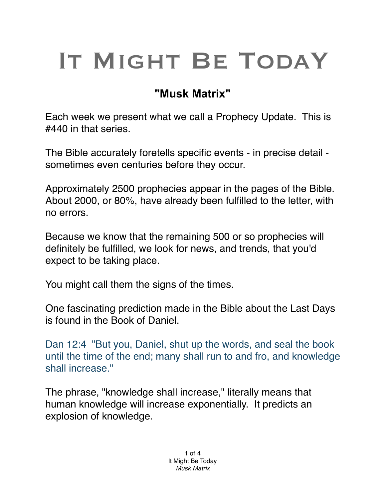## IT MIGHT BE TODAY

## **"Musk Matrix"**

Each week we present what we call a Prophecy Update. This is #440 in that series.

The Bible accurately foretells specific events - in precise detail sometimes even centuries before they occur.

Approximately 2500 prophecies appear in the pages of the Bible. About 2000, or 80%, have already been fulfilled to the letter, with no errors.

Because we know that the remaining 500 or so prophecies will definitely be fulfilled, we look for news, and trends, that you'd expect to be taking place.

You might call them the signs of the times.

One fascinating prediction made in the Bible about the Last Days is found in the Book of Daniel.

Dan 12:4 "But you, Daniel, shut up the words, and seal the book until the time of the end; many shall run to and fro, and knowledge shall increase."

The phrase, "knowledge shall increase," literally means that human knowledge will increase exponentially. It predicts an explosion of knowledge.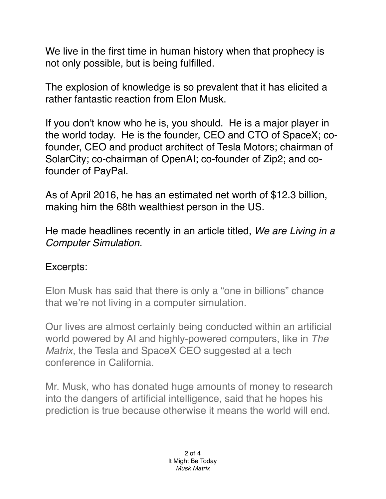We live in the first time in human history when that prophecy is not only possible, but is being fulfilled.

The explosion of knowledge is so prevalent that it has elicited a rather fantastic reaction from Elon Musk.

If you don't know who he is, you should. He is a major player in the world today. He is the founder, CEO and CTO of SpaceX; cofounder, CEO and product architect of Tesla Motors; chairman of SolarCity; co-chairman of OpenAI; co-founder of Zip2; and cofounder of PayPal.

As of April 2016, he has an estimated net worth of \$12.3 billion, making him the 68th wealthiest person in the US.

He made headlines recently in an article titled, *We are Living in a Computer Simulation.*

## Excerpts:

Elon Musk has said that there is only a "one in billions" chance that we're not living in a computer simulation.

Our lives are almost certainly being conducted within an artificial world powered by AI and highly-powered computers, like in *The Matrix*, the Tesla and SpaceX CEO suggested at a tech conference in California.

Mr. Musk, who has donated huge amounts of money to research into the dangers of artificial intelligence, said that he hopes his prediction is true because otherwise it means the world will end.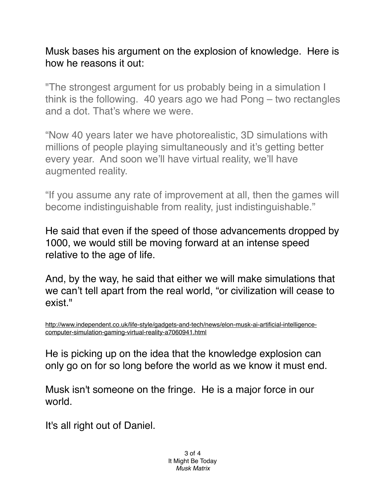Musk bases his argument on the explosion of knowledge. Here is how he reasons it out:

"The strongest argument for us probably being in a simulation I think is the following. 40 years ago we had Pong – two rectangles and a dot. That's where we were.

"Now 40 years later we have photorealistic, 3D simulations with millions of people playing simultaneously and it's getting better every year. And soon we'll have virtual reality, we'll have augmented reality.

"If you assume any rate of improvement at all, then the games will become indistinguishable from reality, just indistinguishable."

He said that even if the speed of those advancements dropped by 1000, we would still be moving forward at an intense speed relative to the age of life.

And, by the way, he said that either we will make simulations that we can't tell apart from the real world, "or civilization will cease to exist."

He is picking up on the idea that the knowledge explosion can only go on for so long before the world as we know it must end.

Musk isn't someone on the fringe. He is a major force in our world.

It's all right out of Daniel.

[http://www.independent.co.uk/life-style/gadgets-and-tech/news/elon-musk-ai-artificial-intelligence](http://www.independent.co.uk/life-style/gadgets-and-tech/news/elon-musk-ai-artificial-intelligence-computer-simulation-gaming-virtual-reality-a7060941.html)computer-simulation-gaming-virtual-reality-a7060941.html